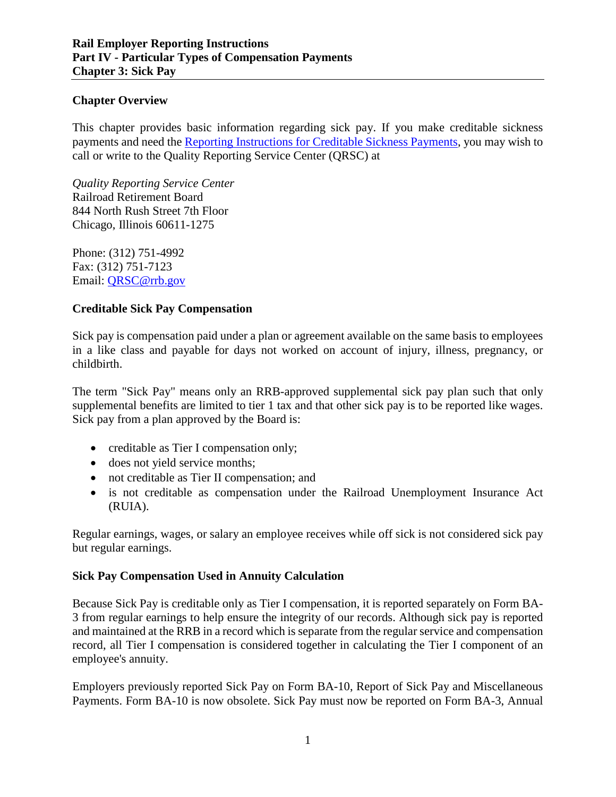#### **Chapter Overview**

This chapter provides basic information regarding sick pay. If you make creditable sickness payments and need the Reporting Instructions for Creditable Sickness Payments, you may wish to call or write to the Quality Reporting Service Center (QRSC) at

*Quality Reporting Service Center* Railroad Retirement Board 844 North Rush Street 7th Floor Chicago, Illinois 60611-1275

Phone: (312) 751-4992 Fax: (312) 751-7123 Email: [QRSC@rrb.gov](mailto:QRSC@rrb.gov)

## **Creditable Sick Pay Compensation**

Sick pay is compensation paid under a plan or agreement available on the same basis to employees in a like class and payable for days not worked on account of injury, illness, pregnancy, or childbirth.

The term "Sick Pay" means only an RRB-approved supplemental sick pay plan such that only supplemental benefits are limited to tier 1 tax and that other sick pay is to be reported like wages. Sick pay from a plan approved by the Board is:

- creditable as Tier I compensation only;
- does not yield service months;
- not creditable as Tier II compensation; and
- is not creditable as compensation under the Railroad Unemployment Insurance Act (RUIA).

Regular earnings, wages, or salary an employee receives while off sick is not considered sick pay but regular earnings.

#### **Sick Pay Compensation Used in Annuity Calculation**

Because Sick Pay is creditable only as Tier I compensation, it is reported separately on Form BA-3 from regular earnings to help ensure the integrity of our records. Although sick pay is reported and maintained at the RRB in a record which is separate from the regular service and compensation record, all Tier I compensation is considered together in calculating the Tier I component of an employee's annuity.

Employers previously reported Sick Pay on Form BA-10, Report of Sick Pay and Miscellaneous Payments. Form BA-10 is now obsolete. Sick Pay must now be reported on Form BA-3, Annual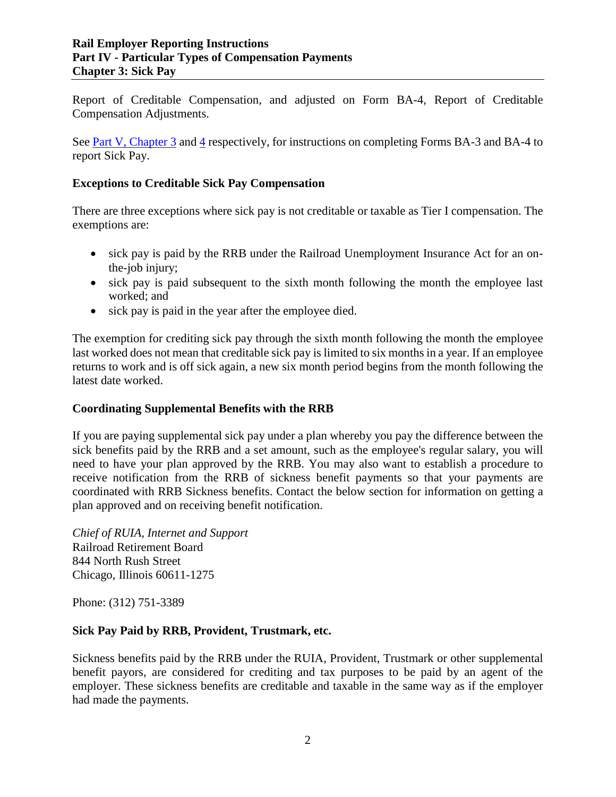Report of Creditable Compensation, and adjusted on Form BA-4, Report of Creditable Compensation Adjustments.

See Part V, Chapter 3 and 4 respectively, for instructions on completing Forms BA-3 and BA-4 to report Sick Pay.

## **Exceptions to Creditable Sick Pay Compensation**

There are three exceptions where sick pay is not creditable or taxable as Tier I compensation. The exemptions are:

- sick pay is paid by the RRB under the Railroad Unemployment Insurance Act for an onthe-job injury;
- sick pay is paid subsequent to the sixth month following the month the employee last worked; and
- sick pay is paid in the year after the employee died.

The exemption for crediting sick pay through the sixth month following the month the employee last worked does not mean that creditable sick pay is limited to six months in a year. If an employee returns to work and is off sick again, a new six month period begins from the month following the latest date worked.

#### **Coordinating Supplemental Benefits with the RRB**

If you are paying supplemental sick pay under a plan whereby you pay the difference between the sick benefits paid by the RRB and a set amount, such as the employee's regular salary, you will need to have your plan approved by the RRB. You may also want to establish a procedure to receive notification from the RRB of sickness benefit payments so that your payments are coordinated with RRB Sickness benefits. Contact the below section for information on getting a plan approved and on receiving benefit notification.

*Chief of RUIA, Internet and Support* Railroad Retirement Board 844 North Rush Street Chicago, Illinois 60611-1275

Phone: (312) 751-3389

#### **Sick Pay Paid by RRB, Provident, Trustmark, etc.**

Sickness benefits paid by the RRB under the RUIA, Provident, Trustmark or other supplemental benefit payors, are considered for crediting and tax purposes to be paid by an agent of the employer. These sickness benefits are creditable and taxable in the same way as if the employer had made the payments.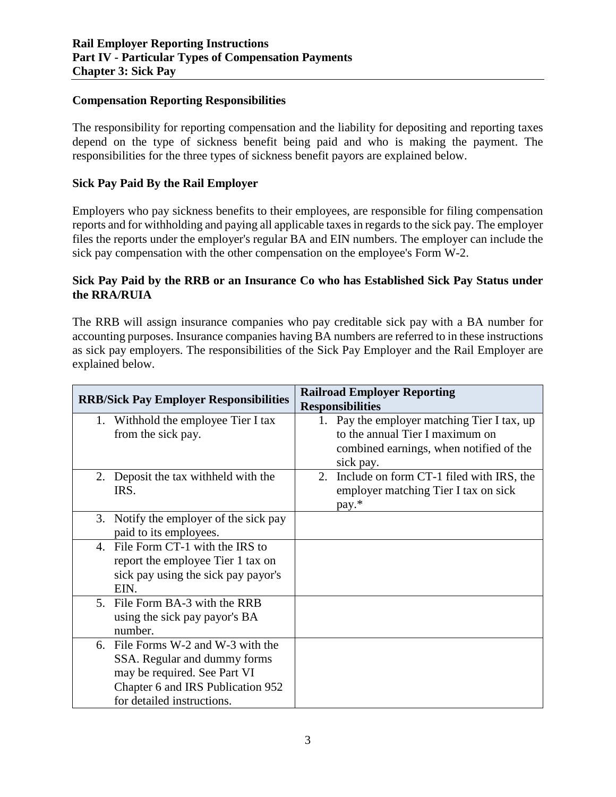#### **Compensation Reporting Responsibilities**

The responsibility for reporting compensation and the liability for depositing and reporting taxes depend on the type of sickness benefit being paid and who is making the payment. The responsibilities for the three types of sickness benefit payors are explained below.

## **Sick Pay Paid By the Rail Employer**

Employers who pay sickness benefits to their employees, are responsible for filing compensation reports and for withholding and paying all applicable taxes in regards to the sick pay. The employer files the reports under the employer's regular BA and EIN numbers. The employer can include the sick pay compensation with the other compensation on the employee's Form W-2.

### **Sick Pay Paid by the RRB or an Insurance Co who has Established Sick Pay Status under the RRA/RUIA**

The RRB will assign insurance companies who pay creditable sick pay with a BA number for accounting purposes. Insurance companies having BA numbers are referred to in these instructions as sick pay employers. The responsibilities of the Sick Pay Employer and the Rail Employer are explained below.

| <b>RRB/Sick Pay Employer Responsibilities</b> | <b>Railroad Employer Reporting</b>             |
|-----------------------------------------------|------------------------------------------------|
|                                               | <b>Responsibilities</b>                        |
| 1. Withhold the employee Tier I tax           | 1. Pay the employer matching Tier I tax, up    |
| from the sick pay.                            | to the annual Tier I maximum on                |
|                                               | combined earnings, when notified of the        |
|                                               | sick pay.                                      |
| Deposit the tax with held with the<br>2.      | Include on form CT-1 filed with IRS, the<br>2. |
| IRS.                                          | employer matching Tier I tax on sick           |
|                                               | pay.*                                          |
| 3. Notify the employer of the sick pay        |                                                |
| paid to its employees.                        |                                                |
| 4. File Form CT-1 with the IRS to             |                                                |
| report the employee Tier 1 tax on             |                                                |
| sick pay using the sick pay payor's           |                                                |
| EIN.                                          |                                                |
| 5. File Form BA-3 with the RRB                |                                                |
| using the sick pay payor's BA                 |                                                |
| number.                                       |                                                |
| 6. File Forms W-2 and W-3 with the            |                                                |
| SSA. Regular and dummy forms                  |                                                |
| may be required. See Part VI                  |                                                |
| Chapter 6 and IRS Publication 952             |                                                |
| for detailed instructions.                    |                                                |